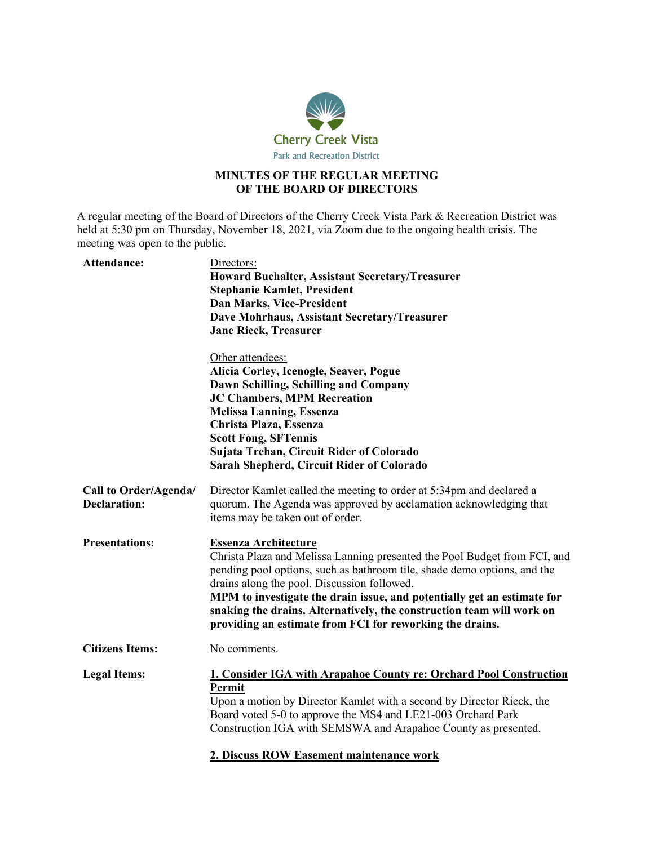

### **MINUTES OF THE REGULAR MEETING OF THE BOARD OF DIRECTORS**

A regular meeting of the Board of Directors of the Cherry Creek Vista Park & Recreation District was held at 5:30 pm on Thursday, November 18, 2021, via Zoom due to the ongoing health crisis. The meeting was open to the public.

| Attendance:                                  | Directors:<br><b>Howard Buchalter, Assistant Secretary/Treasurer</b><br><b>Stephanie Kamlet, President</b><br><b>Dan Marks, Vice-President</b><br>Dave Mohrhaus, Assistant Secretary/Treasurer<br><b>Jane Rieck, Treasurer</b>                                                                                                                                                                                                                      |
|----------------------------------------------|-----------------------------------------------------------------------------------------------------------------------------------------------------------------------------------------------------------------------------------------------------------------------------------------------------------------------------------------------------------------------------------------------------------------------------------------------------|
|                                              | Other attendees:<br>Alicia Corley, Icenogle, Seaver, Pogue<br>Dawn Schilling, Schilling and Company<br><b>JC Chambers, MPM Recreation</b><br><b>Melissa Lanning, Essenza</b><br>Christa Plaza, Essenza<br><b>Scott Fong, SFTennis</b><br>Sujata Trehan, Circuit Rider of Colorado<br>Sarah Shepherd, Circuit Rider of Colorado                                                                                                                      |
| Call to Order/Agenda/<br><b>Declaration:</b> | Director Kamlet called the meeting to order at 5:34pm and declared a<br>quorum. The Agenda was approved by acclamation acknowledging that<br>items may be taken out of order.                                                                                                                                                                                                                                                                       |
| <b>Presentations:</b>                        | <b>Essenza Architecture</b><br>Christa Plaza and Melissa Lanning presented the Pool Budget from FCI, and<br>pending pool options, such as bathroom tile, shade demo options, and the<br>drains along the pool. Discussion followed.<br>MPM to investigate the drain issue, and potentially get an estimate for<br>snaking the drains. Alternatively, the construction team will work on<br>providing an estimate from FCI for reworking the drains. |
| <b>Citizens Items:</b>                       | No comments.                                                                                                                                                                                                                                                                                                                                                                                                                                        |
| <b>Legal Items:</b>                          | 1. Consider IGA with Arapahoe County re: Orchard Pool Construction<br>Permit<br>Upon a motion by Director Kamlet with a second by Director Rieck, the<br>Board voted 5-0 to approve the MS4 and LE21-003 Orchard Park<br>Construction IGA with SEMSWA and Arapahoe County as presented.<br>2. Discuss ROW Easement maintenance work                                                                                                                 |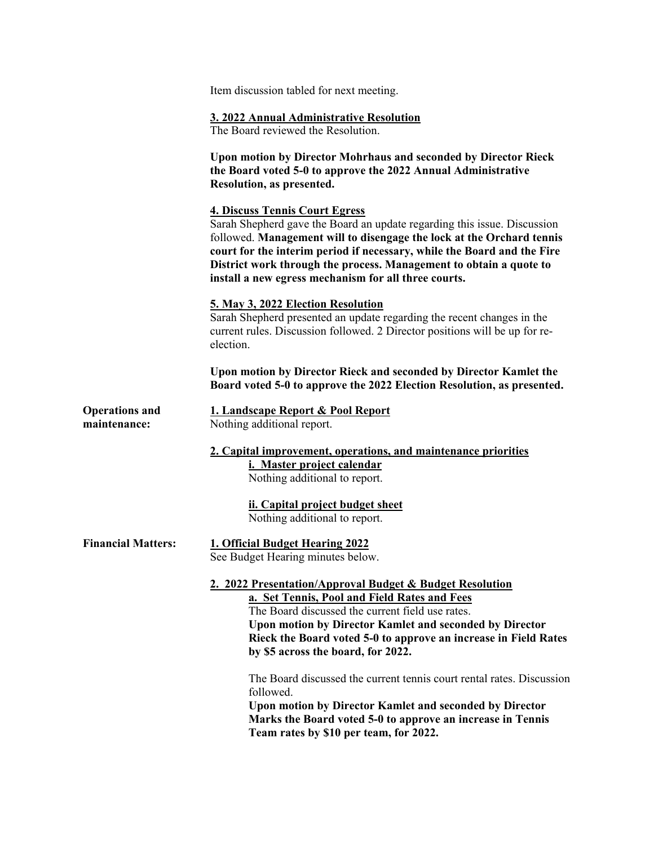Item discussion tabled for next meeting.

#### **3. 2022 Annual Administrative Resolution**

The Board reviewed the Resolution.

**Upon motion by Director Mohrhaus and seconded by Director Rieck the Board voted 5-0 to approve the 2022 Annual Administrative Resolution, as presented.**

#### **4. Discuss Tennis Court Egress**

Sarah Shepherd gave the Board an update regarding this issue. Discussion followed. **Management will to disengage the lock at the Orchard tennis court for the interim period if necessary, while the Board and the Fire District work through the process. Management to obtain a quote to install a new egress mechanism for all three courts.**

#### **5. May 3, 2022 Election Resolution**

Sarah Shepherd presented an update regarding the recent changes in the current rules. Discussion followed. 2 Director positions will be up for reelection.

**Upon motion by Director Rieck and seconded by Director Kamlet the Board voted 5-0 to approve the 2022 Election Resolution, as presented.**

**Operations and maintenance:**

|  | 1. Landscape Report & Pool Report |  |  |
|--|-----------------------------------|--|--|
|  | Nothing additional report.        |  |  |

**2. Capital improvement, operations, and maintenance priorities i. Master project calendar**

Nothing additional to report.

**ii. Capital project budget sheet** Nothing additional to report.

## **Financial Matters: 1. Official Budget Hearing 2022**

See Budget Hearing minutes below.

# **2. 2022 Presentation/Approval Budget & Budget Resolution**

**a. Set Tennis, Pool and Field Rates and Fees** The Board discussed the current field use rates. **Upon motion by Director Kamlet and seconded by Director Rieck the Board voted 5-0 to approve an increase in Field Rates by \$5 across the board, for 2022.**

The Board discussed the current tennis court rental rates. Discussion followed.

**Upon motion by Director Kamlet and seconded by Director Marks the Board voted 5-0 to approve an increase in Tennis Team rates by \$10 per team, for 2022.**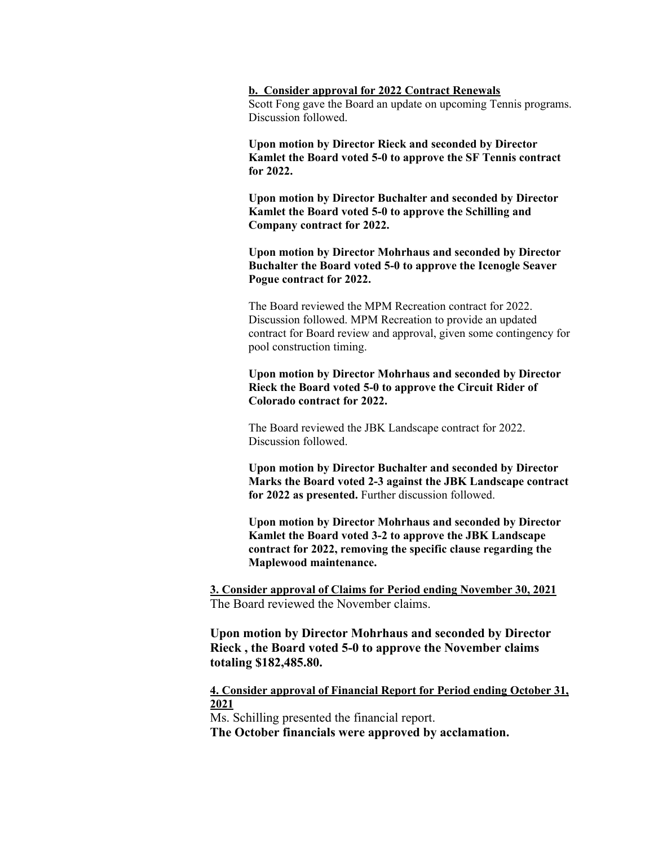**b. Consider approval for 2022 Contract Renewals** Scott Fong gave the Board an update on upcoming Tennis programs. Discussion followed.

**Upon motion by Director Rieck and seconded by Director Kamlet the Board voted 5-0 to approve the SF Tennis contract for 2022.**

**Upon motion by Director Buchalter and seconded by Director Kamlet the Board voted 5-0 to approve the Schilling and Company contract for 2022.**

**Upon motion by Director Mohrhaus and seconded by Director Buchalter the Board voted 5-0 to approve the Icenogle Seaver Pogue contract for 2022.**

The Board reviewed the MPM Recreation contract for 2022. Discussion followed. MPM Recreation to provide an updated contract for Board review and approval, given some contingency for pool construction timing.

**Upon motion by Director Mohrhaus and seconded by Director Rieck the Board voted 5-0 to approve the Circuit Rider of Colorado contract for 2022.**

The Board reviewed the JBK Landscape contract for 2022. Discussion followed.

**Upon motion by Director Buchalter and seconded by Director Marks the Board voted 2-3 against the JBK Landscape contract for 2022 as presented.** Further discussion followed.

**Upon motion by Director Mohrhaus and seconded by Director Kamlet the Board voted 3-2 to approve the JBK Landscape contract for 2022, removing the specific clause regarding the Maplewood maintenance.**

**3. Consider approval of Claims for Period ending November 30, 2021** The Board reviewed the November claims.

**Upon motion by Director Mohrhaus and seconded by Director Rieck , the Board voted 5-0 to approve the November claims totaling \$182,485.80.**

**4. Consider approval of Financial Report for Period ending October 31, 2021**

Ms. Schilling presented the financial report.

**The October financials were approved by acclamation.**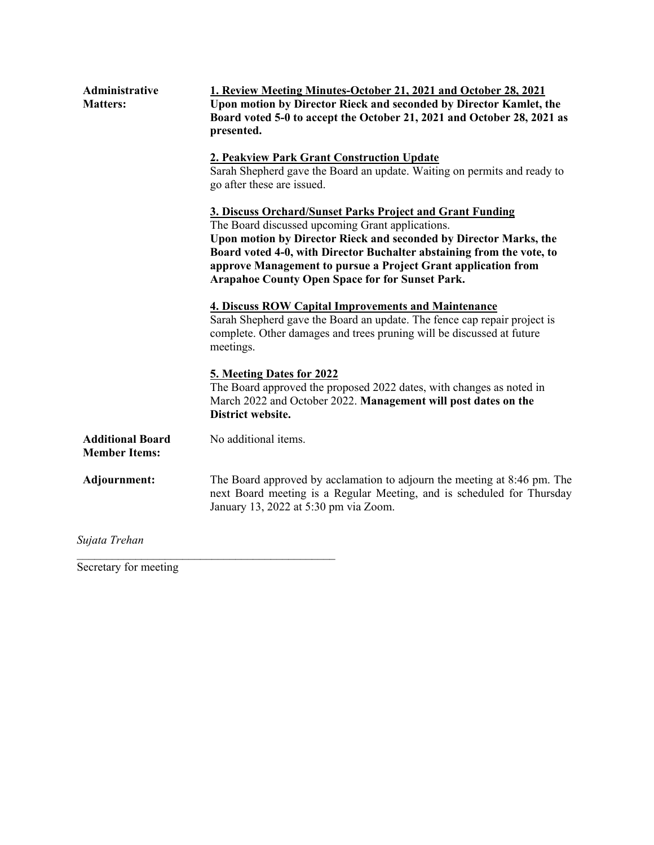| Administrative<br><b>Matters:</b>               | 1. Review Meeting Minutes-October 21, 2021 and October 28, 2021<br>Upon motion by Director Rieck and seconded by Director Kamlet, the                                                                                                                                                                                                                                                  |  |  |  |  |
|-------------------------------------------------|----------------------------------------------------------------------------------------------------------------------------------------------------------------------------------------------------------------------------------------------------------------------------------------------------------------------------------------------------------------------------------------|--|--|--|--|
|                                                 | Board voted 5-0 to accept the October 21, 2021 and October 28, 2021 as<br>presented.                                                                                                                                                                                                                                                                                                   |  |  |  |  |
|                                                 | 2. Peakview Park Grant Construction Update<br>Sarah Shepherd gave the Board an update. Waiting on permits and ready to<br>go after these are issued.                                                                                                                                                                                                                                   |  |  |  |  |
|                                                 | 3. Discuss Orchard/Sunset Parks Project and Grant Funding<br>The Board discussed upcoming Grant applications.<br>Upon motion by Director Rieck and seconded by Director Marks, the<br>Board voted 4-0, with Director Buchalter abstaining from the vote, to<br>approve Management to pursue a Project Grant application from<br><b>Arapahoe County Open Space for for Sunset Park.</b> |  |  |  |  |
|                                                 | <b>4. Discuss ROW Capital Improvements and Maintenance</b><br>Sarah Shepherd gave the Board an update. The fence cap repair project is<br>complete. Other damages and trees pruning will be discussed at future<br>meetings.                                                                                                                                                           |  |  |  |  |
|                                                 | 5. Meeting Dates for 2022<br>The Board approved the proposed 2022 dates, with changes as noted in<br>March 2022 and October 2022. Management will post dates on the<br>District website.                                                                                                                                                                                               |  |  |  |  |
| <b>Additional Board</b><br><b>Member Items:</b> | No additional items.                                                                                                                                                                                                                                                                                                                                                                   |  |  |  |  |
| Adjournment:                                    | The Board approved by acclamation to adjourn the meeting at 8:46 pm. The<br>next Board meeting is a Regular Meeting, and is scheduled for Thursday<br>January 13, 2022 at 5:30 pm via Zoom.                                                                                                                                                                                            |  |  |  |  |
| Sujata Trehan                                   |                                                                                                                                                                                                                                                                                                                                                                                        |  |  |  |  |

Secretary for meeting